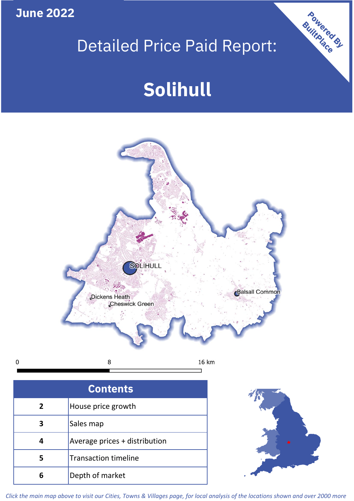**June 2022**

 $\mathbf 0$ 

## Detailed Price Paid Report:

# **Solihull**



| <b>Contents</b> |                               |  |  |
|-----------------|-------------------------------|--|--|
| $\overline{2}$  | House price growth            |  |  |
| 3               | Sales map                     |  |  |
|                 | Average prices + distribution |  |  |
| 5               | <b>Transaction timeline</b>   |  |  |
| 6               | Depth of market               |  |  |



Powered By

*Click the main map above to visit our Cities, Towns & Villages page, for local analysis of the locations shown and over 2000 more*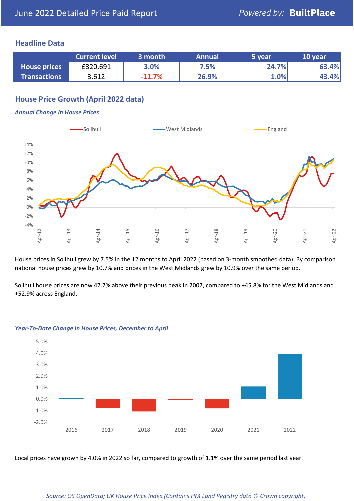#### **Headline Data**

|                     | <b>Current level</b> | 3 month  | <b>Annual</b> | 5 year | 10 year |
|---------------------|----------------------|----------|---------------|--------|---------|
| <b>House prices</b> | £320,691             | 3.0%     | 7.5%          | 24.7%  | 63.4%   |
| <b>Transactions</b> | 3,612                | $-11.7%$ | 26.9%         | 1.0%   | 43.4%   |

#### **House Price Growth (April 2022 data)**

#### *Annual Change in House Prices*



House prices in Solihull grew by 7.5% in the 12 months to April 2022 (based on 3-month smoothed data). By comparison national house prices grew by 10.7% and prices in the West Midlands grew by 10.9% over the same period.

Solihull house prices are now 47.7% above their previous peak in 2007, compared to +45.8% for the West Midlands and +52.9% across England.



#### *Year-To-Date Change in House Prices, December to April*

Local prices have grown by 4.0% in 2022 so far, compared to growth of 1.1% over the same period last year.

#### *Source: OS OpenData; UK House Price Index (Contains HM Land Registry data © Crown copyright)*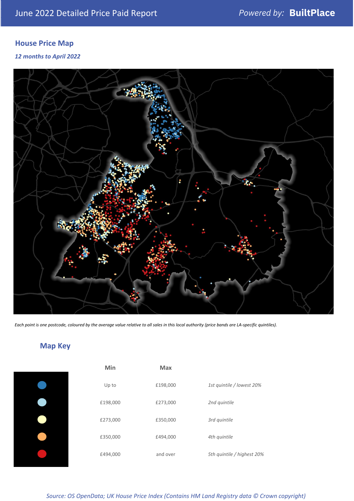#### **House Price Map**

*12 months to April 2022*



*Each point is one postcode, coloured by the average value relative to all sales in this local authority (price bands are LA-specific quintiles).*

### **Map Key**

| Min      | <b>Max</b> |                            |
|----------|------------|----------------------------|
| Up to    | £198,000   | 1st quintile / lowest 20%  |
| £198,000 | £273,000   | 2nd quintile               |
| £273,000 | £350,000   | 3rd quintile               |
| £350,000 | £494,000   | 4th quintile               |
| £494,000 | and over   | 5th quintile / highest 20% |

*Source: OS OpenData; UK House Price Index (Contains HM Land Registry data © Crown copyright)*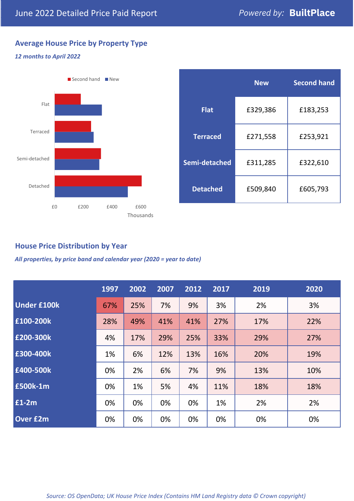### **Average House Price by Property Type**

#### *12 months to April 2022*



|                 | <b>New</b> | <b>Second hand</b> |  |  |
|-----------------|------------|--------------------|--|--|
| <b>Flat</b>     | £329,386   | £183,253           |  |  |
| <b>Terraced</b> | £271,558   | £253,921           |  |  |
| Semi-detached   | £311,285   | £322,610           |  |  |
| <b>Detached</b> | £509,840   | £605,793           |  |  |

#### **House Price Distribution by Year**

*All properties, by price band and calendar year (2020 = year to date)*

|                    | 1997 | 2002 | 2007 | 2012 | 2017 | 2019 | 2020 |
|--------------------|------|------|------|------|------|------|------|
| <b>Under £100k</b> | 67%  | 25%  | 7%   | 9%   | 3%   | 2%   | 3%   |
| £100-200k          | 28%  | 49%  | 41%  | 41%  | 27%  | 17%  | 22%  |
| E200-300k          | 4%   | 17%  | 29%  | 25%  | 33%  | 29%  | 27%  |
| £300-400k          | 1%   | 6%   | 12%  | 13%  | 16%  | 20%  | 19%  |
| £400-500k          | 0%   | 2%   | 6%   | 7%   | 9%   | 13%  | 10%  |
| <b>£500k-1m</b>    | 0%   | 1%   | 5%   | 4%   | 11%  | 18%  | 18%  |
| £1-2m              | 0%   | 0%   | 0%   | 0%   | 1%   | 2%   | 2%   |
| <b>Over £2m</b>    | 0%   | 0%   | 0%   | 0%   | 0%   | 0%   | 0%   |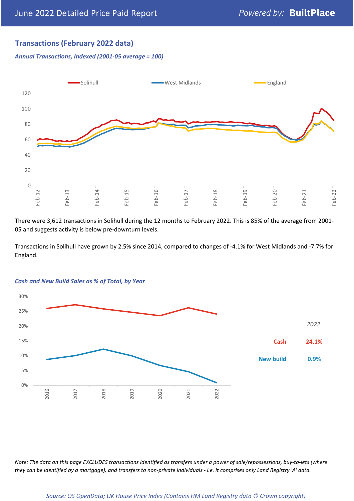#### **Transactions (February 2022 data)**

*Annual Transactions, Indexed (2001-05 average = 100)*



There were 3,612 transactions in Solihull during the 12 months to February 2022. This is 85% of the average from 2001- 05 and suggests activity is below pre-downturn levels.

Transactions in Solihull have grown by 2.5% since 2014, compared to changes of -4.1% for West Midlands and -7.7% for England.



#### *Cash and New Build Sales as % of Total, by Year*

*Note: The data on this page EXCLUDES transactions identified as transfers under a power of sale/repossessions, buy-to-lets (where they can be identified by a mortgage), and transfers to non-private individuals - i.e. it comprises only Land Registry 'A' data.*